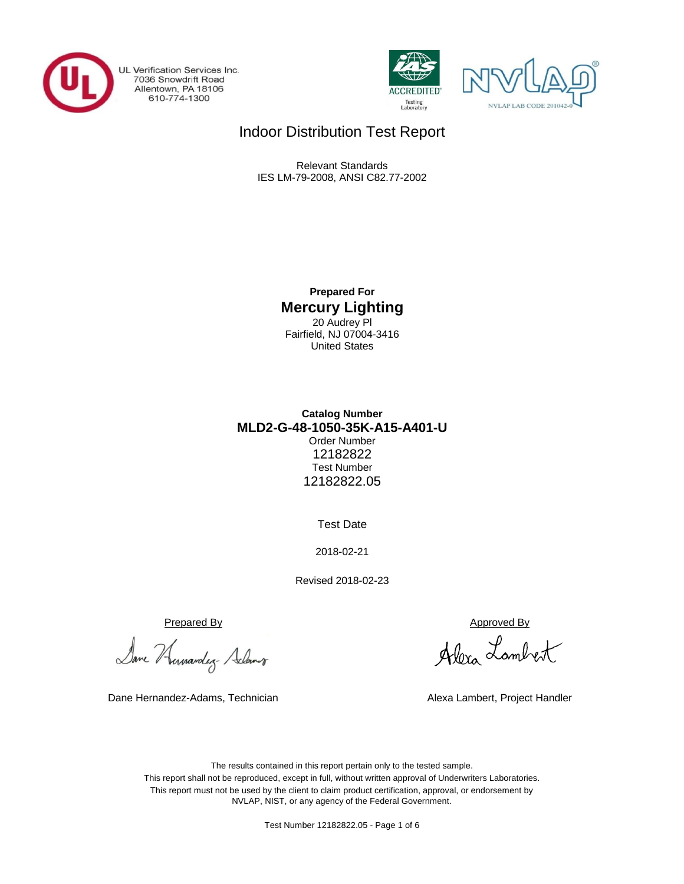

UL Verification Services Inc. 7036 Snowdrift Road<br>Allentown, PA 18106<br>610-774-1300





## Indoor Distribution Test Report

Relevant Standards IES LM-79-2008, ANSI C82.77-2002

> **Prepared For Mercury Lighting** 20 Audrey Pl Fairfield, NJ 07004-3416 United States

## **Catalog Number** Order Number 12182822 Test Number 12182822.05 **MLD2-G-48-1050-35K-A15-A401-U**

Test Date

2018-02-21

Revised 2018-02-23

Prepared By Approved By

Dane Humandez- Adams

Dane Hernandez-Adams, Technician

Alexa Lambert

Alexa Lambert, Project Handler

The results contained in this report pertain only to the tested sample. This report shall not be reproduced, except in full, without written approval of Underwriters Laboratories. This report must not be used by the client to claim product certification, approval, or endorsement by NVLAP, NIST, or any agency of the Federal Government.

Test Number 12182822.05 - Page 1 of 6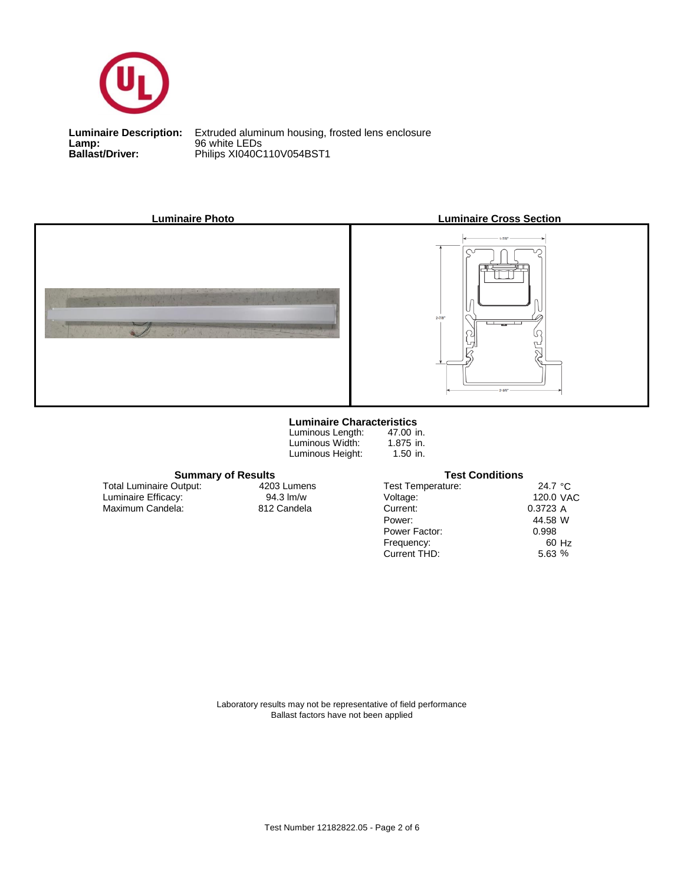

**Lamp:** 96 white LEDs

**Ballast/Driver:** Philips XI040C110V054BST1 **Luminaire Description:** Extruded aluminum housing, frosted lens enclosure



#### **Luminaire Characteristics**

Luminous Height: Luminous Length: Luminous Width:

47.00 in. 1.875 in. 1.50 in.

**Summary of Results Test Conditions**

Maximum Candela: 812 Candela Luminaire Efficacy: Total Luminaire Output:

4203 Lumens<br>94.3 lm/w

| <b>Test Temperature:</b> | 24.7 $\degree$ C |       |
|--------------------------|------------------|-------|
| Voltage:                 | 120.0 VAC        |       |
| Current:                 | 0.3723 A         |       |
| Power:                   | 44.58 W          |       |
| Power Factor:            | 0.998            |       |
| Frequency:               |                  | 60 Hz |
| Current THD:             | 5.63%            |       |
|                          |                  |       |

Laboratory results may not be representative of field performance Ballast factors have not been applied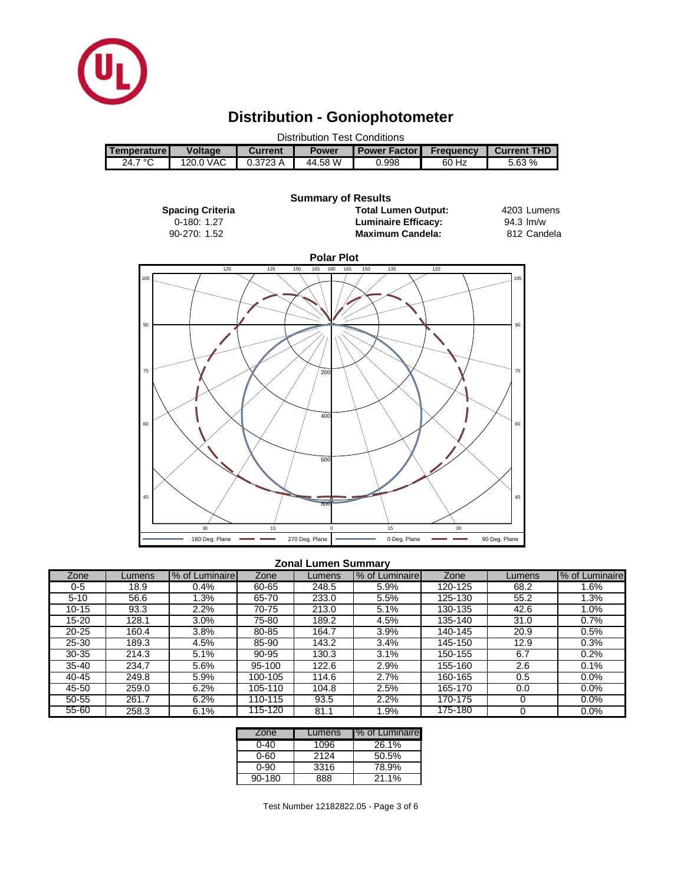

# **Distribution - Goniophotometer**

| <b>Distribution Test Conditions</b> |                |         |              |                         |                  |             |  |
|-------------------------------------|----------------|---------|--------------|-------------------------|------------------|-------------|--|
| Temperature I                       | <b>Voltage</b> | Current | <b>Power</b> | <b>I Power Factor I</b> | <b>Frequency</b> | Current THD |  |
| 24.7 $\degree$ C                    | 120.0 VAC      | 0.3723A | 44.58 W      | 0.998                   | 60 Hz            | 5.63%       |  |



#### **Zonal Lumen Summary**

| Zone      | Lumens | % of Luminaire | Zone    | _umens | % of Luminaire | Zone    | Lumens | % of Luminaire |
|-----------|--------|----------------|---------|--------|----------------|---------|--------|----------------|
| 0-5       | 18.9   | 0.4%           | 60-65   | 248.5  | 5.9%           | 120-125 | 68.2   | .6%            |
| $5 - 10$  | 56.6   | .3%            | 65-70   | 233.0  | 5.5%           | 125-130 | 55.2   | 3%             |
| $10 - 15$ | 93.3   | 2.2%           | 70-75   | 213.0  | 5.1%           | 130-135 | 42.6   | $1.0\%$        |
| 15-20     | 128.1  | 3.0%           | 75-80   | 189.2  | 4.5%           | 135-140 | 31.0   | 0.7%           |
| $20 - 25$ | 160.4  | 3.8%           | 80-85   | 164.7  | 3.9%           | 140-145 | 20.9   | 0.5%           |
| $25 - 30$ | 189.3  | 4.5%           | 85-90   | 143.2  | 3.4%           | 145-150 | 12.9   | 0.3%           |
| $30 - 35$ | 214.3  | 5.1%           | 90-95   | 130.3  | 3.1%           | 150-155 | 6.7    | 0.2%           |
| $35 - 40$ | 234.7  | 5.6%           | 95-100  | 122.6  | 2.9%           | 155-160 | 2.6    | 0.1%           |
| 40-45     | 249.8  | 5.9%           | 100-105 | 114.6  | 2.7%           | 160-165 | 0.5    | 0.0%           |
| 45-50     | 259.0  | 6.2%           | 105-110 | 104.8  | 2.5%           | 165-170 | 0.0    | 0.0%           |
| 50-55     | 261.7  | 6.2%           | 110-115 | 93.5   | 2.2%           | 170-175 |        | 0.0%           |
| 55-60     | 258.3  | 6.1%           | 115-120 | 81.1   | $.9\%$         | 175-180 |        | 0.0%           |

| Zone   | Lumens | % of Luminaire |
|--------|--------|----------------|
| ი-4ი   | 1096   | 26.1%          |
| ი-60   | 2124   | 50.5%          |
| 0-90   | 3316   | 78.9%          |
| 90-180 | 888    | 21.1%          |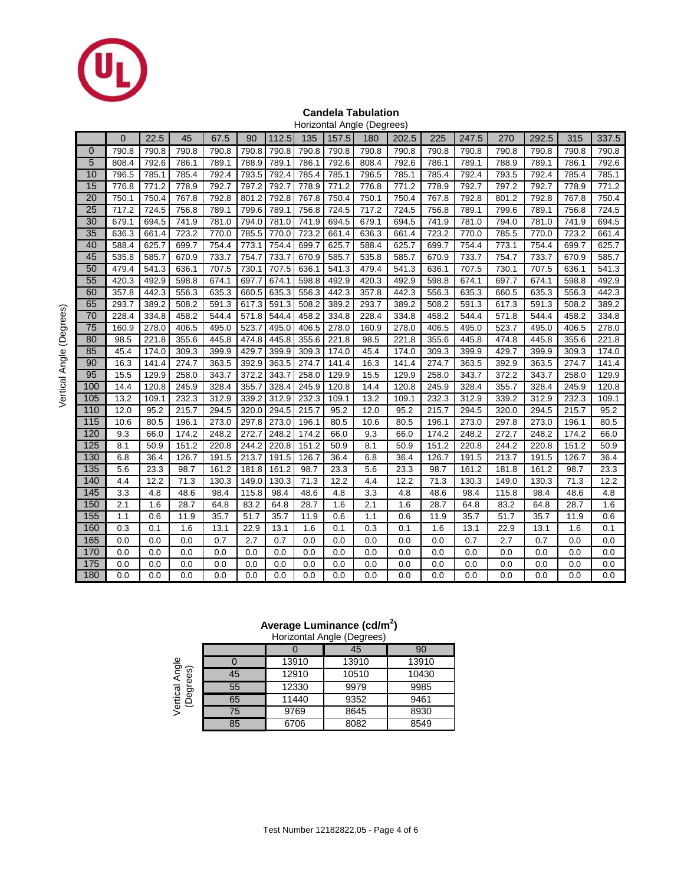

### **Candela Tabulation**

|             | Horizontal Angle (Degrees) |       |       |       |       |       |       |       |       |       |       |       |       |       |       |       |
|-------------|----------------------------|-------|-------|-------|-------|-------|-------|-------|-------|-------|-------|-------|-------|-------|-------|-------|
|             | $\overline{0}$             | 22.5  | 45    | 67.5  | 90    | 112.5 | 135   | 157.5 | 180   | 202.5 | 225   | 247.5 | 270   | 292.5 | 315   | 337.5 |
| $\mathbf 0$ | 790.8                      | 790.8 | 790.8 | 790.8 | 790.8 | 790.8 | 790.8 | 790.8 | 790.8 | 790.8 | 790.8 | 790.8 | 790.8 | 790.8 | 790.8 | 790.8 |
| 5           | 808.4                      | 792.6 | 786.1 | 789.1 | 788.9 | 789.1 | 786.1 | 792.6 | 808.4 | 792.6 | 786.1 | 789.1 | 788.9 | 789.1 | 786.1 | 792.6 |
| 10          | 796.5                      | 785.1 | 785.4 | 792.4 | 793.5 | 792.4 | 785.4 | 785.1 | 796.5 | 785.1 | 785.4 | 792.4 | 793.5 | 792.4 | 785.4 | 785.1 |
| 15          | 776.8                      | 771.2 | 778.9 | 792.7 | 797.2 | 792.7 | 778.9 | 771.2 | 776.8 | 771.2 | 778.9 | 792.7 | 797.2 | 792.7 | 778.9 | 771.2 |
| 20          | 750.1                      | 750.4 | 767.8 | 792.8 | 801.2 | 792.8 | 767.8 | 750.4 | 750.1 | 750.4 | 767.8 | 792.8 | 801.2 | 792.8 | 767.8 | 750.4 |
| 25          | 717.2                      | 724.5 | 756.8 | 789.1 | 799.6 | 789.1 | 756.8 | 724.5 | 717.2 | 724.5 | 756.8 | 789.1 | 799.6 | 789.1 | 756.8 | 724.5 |
| 30          | 679.1                      | 694.5 | 741.9 | 781.0 | 794.0 | 781.0 | 741.9 | 694.5 | 679.1 | 694.5 | 741.9 | 781.0 | 794.0 | 781.0 | 741.9 | 694.5 |
| 35          | 636.3                      | 661.4 | 723.2 | 770.0 | 785.5 | 770.0 | 723.2 | 661.4 | 636.3 | 661.4 | 723.2 | 770.0 | 785.5 | 770.0 | 723.2 | 661.4 |
| 40          | 588.4                      | 625.7 | 699.7 | 754.4 | 773.1 | 754.4 | 699.7 | 625.7 | 588.4 | 625.7 | 699.7 | 754.4 | 773.1 | 754.4 | 699.7 | 625.7 |
| 45          | 535.8                      | 585.7 | 670.9 | 733.7 | 754.7 | 733.7 | 670.9 | 585.7 | 535.8 | 585.7 | 670.9 | 733.7 | 754.7 | 733.7 | 670.9 | 585.7 |
| 50          | 479.4                      | 541.3 | 636.1 | 707.5 | 730.1 | 707.5 | 636.1 | 541.3 | 479.4 | 541.3 | 636.1 | 707.5 | 730.1 | 707.5 | 636.1 | 541.3 |
| 55          | 420.3                      | 492.9 | 598.8 | 674.1 | 697.7 | 674.1 | 598.8 | 492.9 | 420.3 | 492.9 | 598.8 | 674.1 | 697.7 | 674.1 | 598.8 | 492.9 |
| 60          | 357.8                      | 442.3 | 556.3 | 635.3 | 660.5 | 635.3 | 556.3 | 442.3 | 357.8 | 442.3 | 556.3 | 635.3 | 660.5 | 635.3 | 556.3 | 442.3 |
| 65          | 293.7                      | 389.2 | 508.2 | 591.3 | 617.3 | 591.3 | 508.2 | 389.2 | 293.7 | 389.2 | 508.2 | 591.3 | 617.3 | 591.3 | 508.2 | 389.2 |
| 70          | 228.4                      | 334.8 | 458.2 | 544.4 | 571.8 | 544.4 | 458.2 | 334.8 | 228.4 | 334.8 | 458.2 | 544.4 | 571.8 | 544.4 | 458.2 | 334.8 |
| 75          | 160.9                      | 278.0 | 406.5 | 495.0 | 523.7 | 495.0 | 406.5 | 278.0 | 160.9 | 278.0 | 406.5 | 495.0 | 523.7 | 495.0 | 406.5 | 278.0 |
| 80          | 98.5                       | 221.8 | 355.6 | 445.8 | 474.8 | 445.8 | 355.6 | 221.8 | 98.5  | 221.8 | 355.6 | 445.8 | 474.8 | 445.8 | 355.6 | 221.8 |
| 85          | 45.4                       | 174.0 | 309.3 | 399.9 | 429.7 | 399.9 | 309.3 | 174.0 | 45.4  | 174.0 | 309.3 | 399.9 | 429.7 | 399.9 | 309.3 | 174.0 |
| 90          | 16.3                       | 141.4 | 274.7 | 363.5 | 392.9 | 363.5 | 274.7 | 141.4 | 16.3  | 141.4 | 274.7 | 363.5 | 392.9 | 363.5 | 274.7 | 141.4 |
| 95          | 15.5                       | 129.9 | 258.0 | 343.7 | 372.2 | 343.7 | 258.0 | 129.9 | 15.5  | 129.9 | 258.0 | 343.7 | 372.2 | 343.7 | 258.0 | 129.9 |
| 100         | 14.4                       | 120.8 | 245.9 | 328.4 | 355.7 | 328.4 | 245.9 | 120.8 | 14.4  | 120.8 | 245.9 | 328.4 | 355.7 | 328.4 | 245.9 | 120.8 |
| 105         | 13.2                       | 109.1 | 232.3 | 312.9 | 339.2 | 312.9 | 232.3 | 109.1 | 13.2  | 109.1 | 232.3 | 312.9 | 339.2 | 312.9 | 232.3 | 109.1 |
| 110         | 12.0                       | 95.2  | 215.7 | 294.5 | 320.0 | 294.5 | 215.7 | 95.2  | 12.0  | 95.2  | 215.7 | 294.5 | 320.0 | 294.5 | 215.7 | 95.2  |
| 115         | 10.6                       | 80.5  | 196.1 | 273.0 | 297.8 | 273.0 | 196.1 | 80.5  | 10.6  | 80.5  | 196.1 | 273.0 | 297.8 | 273.0 | 196.1 | 80.5  |
| 120         | 9.3                        | 66.0  | 174.2 | 248.2 | 272.7 | 248.2 | 174.2 | 66.0  | 9.3   | 66.0  | 174.2 | 248.2 | 272.7 | 248.2 | 174.2 | 66.0  |
| 125         | 8.1                        | 50.9  | 151.2 | 220.8 | 244.2 | 220.8 | 151.2 | 50.9  | 8.1   | 50.9  | 151.2 | 220.8 | 244.2 | 220.8 | 151.2 | 50.9  |
| 130         | 6.8                        | 36.4  | 126.7 | 191.5 | 213.7 | 191.5 | 126.7 | 36.4  | 6.8   | 36.4  | 126.7 | 191.5 | 213.7 | 191.5 | 126.7 | 36.4  |
| 135         | 5.6                        | 23.3  | 98.7  | 161.2 | 181.8 | 161.2 | 98.7  | 23.3  | 5.6   | 23.3  | 98.7  | 161.2 | 181.8 | 161.2 | 98.7  | 23.3  |
| 140         | 4.4                        | 12.2  | 71.3  | 130.3 | 149.0 | 130.3 | 71.3  | 12.2  | 4.4   | 12.2  | 71.3  | 130.3 | 149.0 | 130.3 | 71.3  | 12.2  |
| 145         | 3.3                        | 4.8   | 48.6  | 98.4  | 115.8 | 98.4  | 48.6  | 4.8   | 3.3   | 4.8   | 48.6  | 98.4  | 115.8 | 98.4  | 48.6  | 4.8   |
| 150         | 2.1                        | 1.6   | 28.7  | 64.8  | 83.2  | 64.8  | 28.7  | 1.6   | 2.1   | 1.6   | 28.7  | 64.8  | 83.2  | 64.8  | 28.7  | 1.6   |
| 155         | 1.1                        | 0.6   | 11.9  | 35.7  | 51.7  | 35.7  | 11.9  | 0.6   | 1.1   | 0.6   | 11.9  | 35.7  | 51.7  | 35.7  | 11.9  | 0.6   |
| 160         | 0.3                        | 0.1   | 1.6   | 13.1  | 22.9  | 13.1  | 1.6   | 0.1   | 0.3   | 0.1   | 1.6   | 13.1  | 22.9  | 13.1  | 1.6   | 0.1   |
| 165         | 0.0                        | 0.0   | 0.0   | 0.7   | 2.7   | 0.7   | 0.0   | 0.0   | 0.0   | 0.0   | 0.0   | 0.7   | 2.7   | 0.7   | 0.0   | 0.0   |
| 170         | 0.0                        | 0.0   | 0.0   | 0.0   | 0.0   | 0.0   | 0.0   | 0.0   | 0.0   | 0.0   | 0.0   | 0.0   | 0.0   | 0.0   | 0.0   | 0.0   |
| 175         | 0.0                        | 0.0   | 0.0   | 0.0   | 0.0   | 0.0   | 0.0   | 0.0   | 0.0   | 0.0   | 0.0   | 0.0   | 0.0   | 0.0   | 0.0   | 0.0   |
| 180         | 0.0                        | 0.0   | 0.0   | 0.0   | 0.0   | 0.0   | 0.0   | 0.0   | 0.0   | 0.0   | 0.0   | 0.0   | 0.0   | 0.0   | 0.0   | 0.0   |

Vertical Angle (Degrees) Vertical Angle (Degrees)

## **Average Luminance (cd/m<sup>2</sup> )**

|                               |    |       | Horizontal Angle (Degrees) |       |
|-------------------------------|----|-------|----------------------------|-------|
|                               |    |       | 45                         | 90    |
|                               |    | 13910 | 13910                      | 13910 |
| Angle<br>es)<br>Ë             | 45 | 12910 | 10510                      | 10430 |
| Vertical<br>(Degre<br>ë<br>eg | 55 | 12330 | 9979                       | 9985  |
|                               | 65 | 11440 | 9352                       | 9461  |
|                               | 75 | 9769  | 8645                       | 8930  |
|                               | 85 | 6706  | 8082                       | 8549  |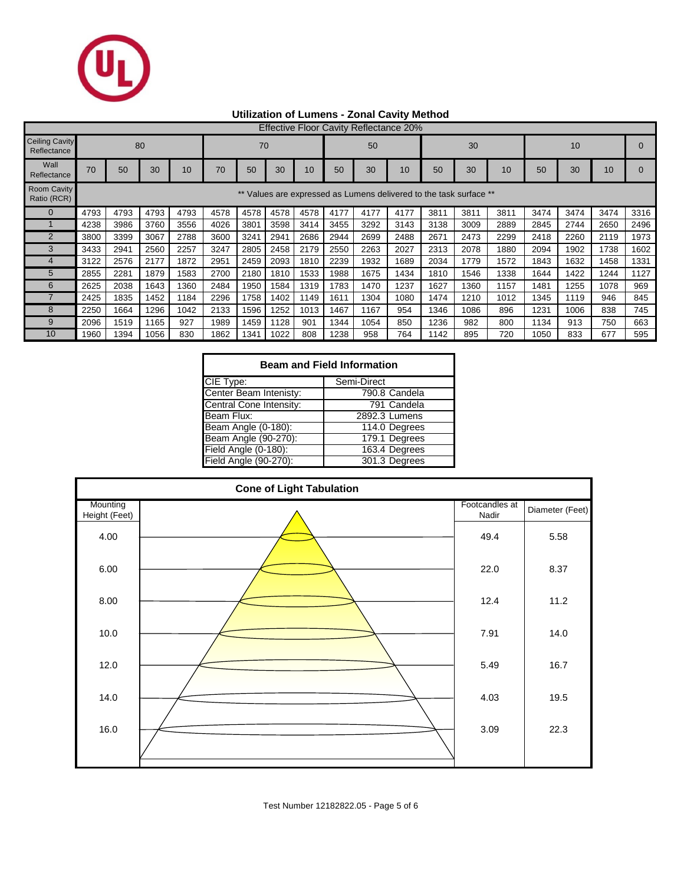

## **Utilization of Lumens - Zonal Cavity Method**

|                                      | <b>Effective Floor Cavity Reflectance 20%</b>                   |      |      |      |      |      |      |      |      |      |      |      |      |      |      |      |      |      |
|--------------------------------------|-----------------------------------------------------------------|------|------|------|------|------|------|------|------|------|------|------|------|------|------|------|------|------|
| <b>Ceiling Cavity</b><br>Reflectance |                                                                 |      | 80   |      | 70   |      |      |      | 50   |      |      | 30   |      |      | 10   |      |      |      |
| Wall<br>Reflectance                  | 70                                                              | 50   | 30   | 10   | 70   | 50   | 30   | 10   | 50   | 30   | 10   | 50   | 30   | 10   | 50   | 30   | 10   |      |
| Room Cavity<br>Ratio (RCR)           | Values are expressed as Lumens delivered to the task surface ** |      |      |      |      |      |      |      |      |      |      |      |      |      |      |      |      |      |
|                                      | 4793                                                            | 4793 | 4793 | 4793 | 4578 | 4578 | 4578 | 4578 | 4177 | 4177 | 4177 | 3811 | 3811 | 3811 | 3474 | 3474 | 3474 | 3316 |
|                                      | 4238                                                            | 3986 | 3760 | 3556 | 4026 | 3801 | 3598 | 3414 | 3455 | 3292 | 3143 | 3138 | 3009 | 2889 | 2845 | 2744 | 2650 | 2496 |
| $\overline{2}$                       | 3800                                                            | 3399 | 3067 | 2788 | 3600 | 3241 | 2941 | 2686 | 2944 | 2699 | 2488 | 2671 | 2473 | 2299 | 2418 | 2260 | 2119 | 1973 |
| 3                                    | 3433                                                            | 2941 | 2560 | 2257 | 3247 | 2805 | 2458 | 2179 | 2550 | 2263 | 2027 | 2313 | 2078 | 1880 | 2094 | 1902 | 1738 | 1602 |
|                                      | 3122                                                            | 2576 | 2177 | 1872 | 2951 | 2459 | 2093 | 1810 | 2239 | 1932 | 1689 | 2034 | 1779 | 1572 | 1843 | 1632 | 1458 | 1331 |
| 5                                    | 2855                                                            | 2281 | 1879 | 1583 | 2700 | 2180 | 1810 | 1533 | 1988 | 1675 | 1434 | 1810 | 1546 | 1338 | 1644 | 1422 | 1244 | 1127 |
| 6                                    | 2625                                                            | 2038 | 1643 | 1360 | 2484 | 1950 | 1584 | 1319 | 1783 | 1470 | 1237 | 1627 | 1360 | 1157 | 1481 | 1255 | 1078 | 969  |
|                                      | 2425                                                            | 1835 | 1452 | 1184 | 2296 | 1758 | 1402 | 1149 | 1611 | 1304 | 1080 | 1474 | 1210 | 1012 | 1345 | 1119 | 946  | 845  |
| 8                                    | 2250                                                            | 1664 | 1296 | 1042 | 2133 | 1596 | 1252 | 1013 | 1467 | 1167 | 954  | 1346 | 1086 | 896  | 1231 | 1006 | 838  | 745  |
| 9                                    | 2096                                                            | 1519 | 1165 | 927  | 1989 | 1459 | 1128 | 901  | 1344 | 1054 | 850  | 1236 | 982  | 800  | 1134 | 913  | 750  | 663  |
| 10                                   | 1960                                                            | 1394 | 1056 | 830  | 1862 | 1341 | 1022 | 808  | 1238 | 958  | 764  | 1142 | 895  | 720  | 1050 | 833  | 677  | 595  |

| <b>Beam and Field Information</b> |               |  |  |  |  |  |  |  |  |
|-----------------------------------|---------------|--|--|--|--|--|--|--|--|
| CIE Type:                         | Semi-Direct   |  |  |  |  |  |  |  |  |
| Center Beam Intenisty:            | 790.8 Candela |  |  |  |  |  |  |  |  |
| Central Cone Intensity:           | 791 Candela   |  |  |  |  |  |  |  |  |
| Beam Flux:                        | 2892.3 Lumens |  |  |  |  |  |  |  |  |
| Beam Angle (0-180):               | 114.0 Degrees |  |  |  |  |  |  |  |  |
| Beam Angle (90-270):              | 179.1 Degrees |  |  |  |  |  |  |  |  |
| Field Angle (0-180):              | 163.4 Degrees |  |  |  |  |  |  |  |  |
| Field Angle (90-270):             | 301.3 Degrees |  |  |  |  |  |  |  |  |